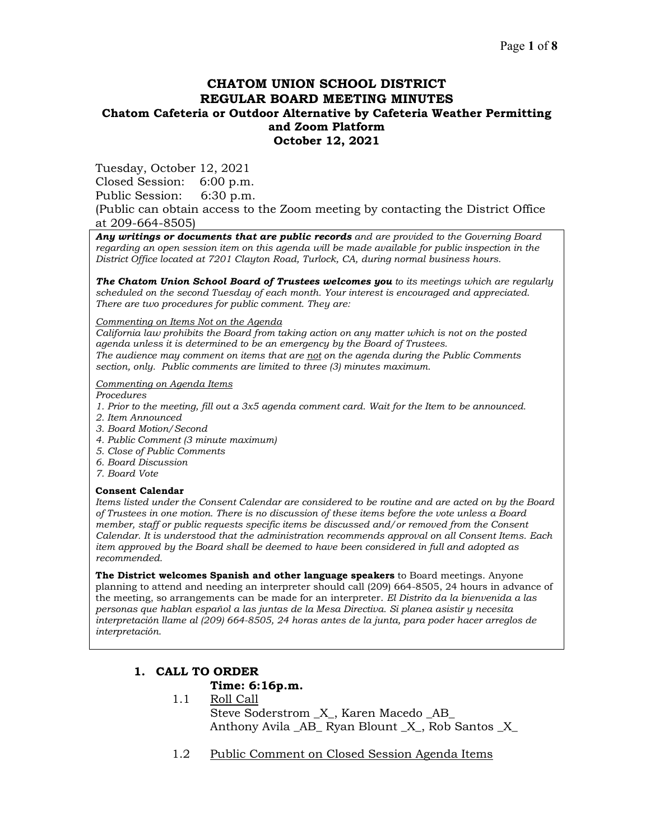# **CHATOM UNION SCHOOL DISTRICT REGULAR BOARD MEETING MINUTES Chatom Cafeteria or Outdoor Alternative by Cafeteria Weather Permitting and Zoom Platform October 12, 2021**

Tuesday, October 12, 2021

Closed Session: 6:00 p.m.

Public Session: 6:30 p.m.

(Public can obtain access to the Zoom meeting by contacting the District Office at 209-664-8505)

*Any writings or documents that are public records and are provided to the Governing Board regarding an open session item on this agenda will be made available for public inspection in the District Office located at 7201 Clayton Road, Turlock, CA, during normal business hours.*

*The Chatom Union School Board of Trustees welcomes you to its meetings which are regularly scheduled on the second Tuesday of each month. Your interest is encouraged and appreciated. There are two procedures for public comment. They are:*

*Commenting on Items Not on the Agenda*

*California law prohibits the Board from taking action on any matter which is not on the posted agenda unless it is determined to be an emergency by the Board of Trustees. The audience may comment on items that are not on the agenda during the Public Comments section, only. Public comments are limited to three (3) minutes maximum.*

#### *Commenting on Agenda Items*

*Procedures* 

- *1. Prior to the meeting, fill out a 3x5 agenda comment card. Wait for the Item to be announced.*
- *2. Item Announced*
- *3. Board Motion/Second*
- *4. Public Comment (3 minute maximum)*
- *5. Close of Public Comments*
- *6. Board Discussion*
- *7. Board Vote*

#### **Consent Calendar**

*Items listed under the Consent Calendar are considered to be routine and are acted on by the Board of Trustees in one motion. There is no discussion of these items before the vote unless a Board member, staff or public requests specific items be discussed and/or removed from the Consent Calendar. It is understood that the administration recommends approval on all Consent Items. Each item approved by the Board shall be deemed to have been considered in full and adopted as recommended.*

**The District welcomes Spanish and other language speakers** to Board meetings. Anyone planning to attend and needing an interpreter should call (209) 664-8505, 24 hours in advance of the meeting, so arrangements can be made for an interpreter. *El Distrito da la bienvenida a las personas que hablan español a las juntas de la Mesa Directiva. Si planea asistir y necesita interpretación llame al (209) 664-8505, 24 horas antes de la junta, para poder hacer arreglos de interpretación.*

# **1. CALL TO ORDER**

## **Time: 6:16p.m.**

- 1.1 Roll Call Steve Soderstrom  $\,$  X , Karen Macedo AB Anthony Avila \_AB\_ Ryan Blount \_X\_, Rob Santos \_X\_
- 1.2 Public Comment on Closed Session Agenda Items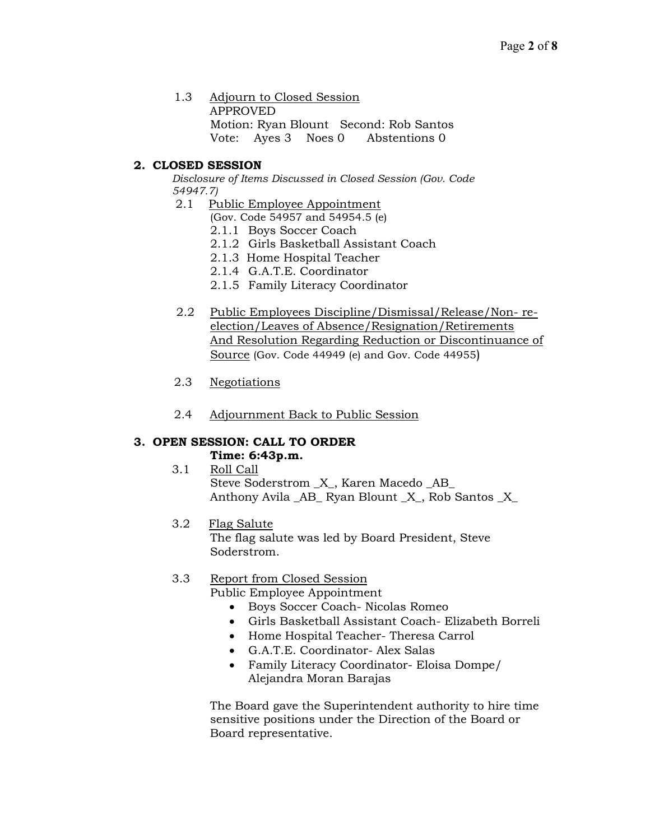1.3 Adjourn to Closed Session APPROVED Motion: Ryan Blount Second: Rob Santos Vote: Ayes 3 Noes 0 Abstentions 0

# **2. CLOSED SESSION**

*Disclosure of Items Discussed in Closed Session (Gov. Code 54947.7)*

- 2.1 Public Employee Appointment
	- (Gov. Code 54957 and 54954.5 (e)
	- 2.1.1 Boys Soccer Coach
	- 2.1.2 Girls Basketball Assistant Coach
	- 2.1.3 Home Hospital Teacher
	- 2.1.4 G.A.T.E. Coordinator
	- 2.1.5 Family Literacy Coordinator
- 2.2 Public Employees Discipline/Dismissal/Release/Non- reelection/Leaves of Absence/Resignation/Retirements And Resolution Regarding Reduction or Discontinuance of Source (Gov. Code 44949 (e) and Gov. Code 44955)
- 2.3 Negotiations
- 2.4 Adjournment Back to Public Session

# **3. OPEN SESSION: CALL TO ORDER**

# **Time: 6:43p.m.**

 3.1 Roll Call Steve Soderstrom \_X\_, Karen Macedo \_AB\_ Anthony Avila AB Ryan Blount X, Rob Santos X

# 3.2 Flag Salute

The flag salute was led by Board President, Steve Soderstrom.

# 3.3 Report from Closed Session

Public Employee Appointment

- Boys Soccer Coach- Nicolas Romeo
- Girls Basketball Assistant Coach- Elizabeth Borreli
- Home Hospital Teacher- Theresa Carrol
- G.A.T.E. Coordinator- Alex Salas
- Family Literacy Coordinator- Eloisa Dompe/ Alejandra Moran Barajas

The Board gave the Superintendent authority to hire time sensitive positions under the Direction of the Board or Board representative.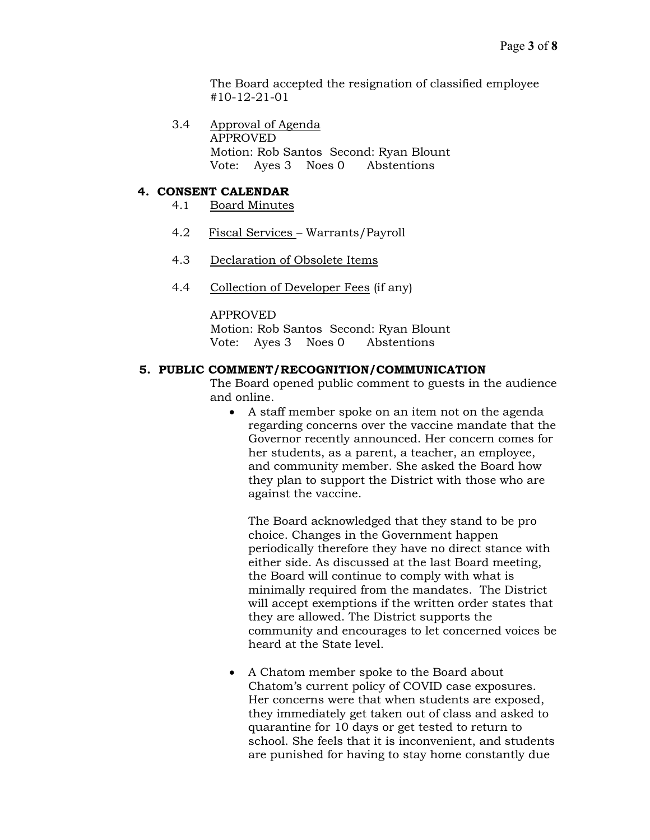The Board accepted the resignation of classified employee #10-12-21-01

3.4 Approval of Agenda APPROVED Motion: Rob Santos Second: Ryan Blount Vote: Ayes 3 Noes 0 Abstentions

## **4. CONSENT CALENDAR**

- 4.1 Board Minutes
- 4.2 Fiscal Services Warrants/Payroll
- 4.3 Declaration of Obsolete Items
- 4.4 Collection of Developer Fees (if any)

APPROVED Motion: Rob Santos Second: Ryan Blount Vote: Ayes 3 Noes 0 Abstentions

### **5. PUBLIC COMMENT/RECOGNITION/COMMUNICATION**

The Board opened public comment to guests in the audience and online.

• A staff member spoke on an item not on the agenda regarding concerns over the vaccine mandate that the Governor recently announced. Her concern comes for her students, as a parent, a teacher, an employee, and community member. She asked the Board how they plan to support the District with those who are against the vaccine.

The Board acknowledged that they stand to be pro choice. Changes in the Government happen periodically therefore they have no direct stance with either side. As discussed at the last Board meeting, the Board will continue to comply with what is minimally required from the mandates. The District will accept exemptions if the written order states that they are allowed. The District supports the community and encourages to let concerned voices be heard at the State level.

• A Chatom member spoke to the Board about Chatom's current policy of COVID case exposures. Her concerns were that when students are exposed, they immediately get taken out of class and asked to quarantine for 10 days or get tested to return to school. She feels that it is inconvenient, and students are punished for having to stay home constantly due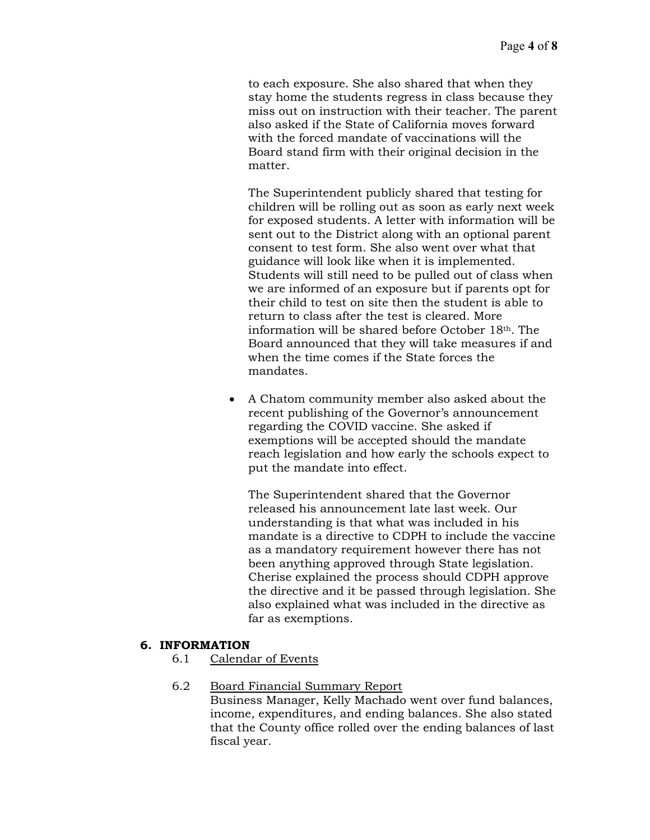to each exposure. She also shared that when they stay home the students regress in class because they miss out on instruction with their teacher. The parent also asked if the State of California moves forward with the forced mandate of vaccinations will the Board stand firm with their original decision in the matter.

The Superintendent publicly shared that testing for children will be rolling out as soon as early next week for exposed students. A letter with information will be sent out to the District along with an optional parent consent to test form. She also went over what that guidance will look like when it is implemented. Students will still need to be pulled out of class when we are informed of an exposure but if parents opt for their child to test on site then the student is able to return to class after the test is cleared. More information will be shared before October 18th. The Board announced that they will take measures if and when the time comes if the State forces the mandates.

• A Chatom community member also asked about the recent publishing of the Governor's announcement regarding the COVID vaccine. She asked if exemptions will be accepted should the mandate reach legislation and how early the schools expect to put the mandate into effect.

The Superintendent shared that the Governor released his announcement late last week. Our understanding is that what was included in his mandate is a directive to CDPH to include the vaccine as a mandatory requirement however there has not been anything approved through State legislation. Cherise explained the process should CDPH approve the directive and it be passed through legislation. She also explained what was included in the directive as far as exemptions.

# **6. INFORMATION**

6.1 Calendar of Events

## 6.2 Board Financial Summary Report

Business Manager, Kelly Machado went over fund balances, income, expenditures, and ending balances. She also stated that the County office rolled over the ending balances of last fiscal year.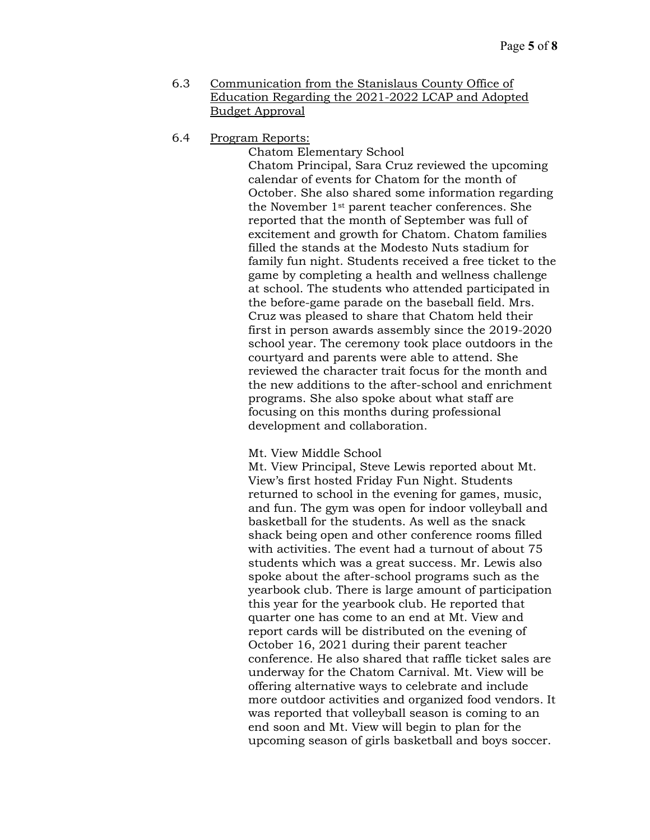- 6.3 Communication from the Stanislaus County Office of Education Regarding the 2021-2022 LCAP and Adopted Budget Approval
- 6.4 Program Reports:

Chatom Elementary School Chatom Principal, Sara Cruz reviewed the upcoming calendar of events for Chatom for the month of October. She also shared some information regarding the November 1st parent teacher conferences. She reported that the month of September was full of excitement and growth for Chatom. Chatom families filled the stands at the Modesto Nuts stadium for family fun night. Students received a free ticket to the game by completing a health and wellness challenge at school. The students who attended participated in the before-game parade on the baseball field. Mrs. Cruz was pleased to share that Chatom held their first in person awards assembly since the 2019-2020 school year. The ceremony took place outdoors in the courtyard and parents were able to attend. She reviewed the character trait focus for the month and the new additions to the after-school and enrichment programs. She also spoke about what staff are focusing on this months during professional development and collaboration.

#### Mt. View Middle School

Mt. View Principal, Steve Lewis reported about Mt. View's first hosted Friday Fun Night. Students returned to school in the evening for games, music, and fun. The gym was open for indoor volleyball and basketball for the students. As well as the snack shack being open and other conference rooms filled with activities. The event had a turnout of about 75 students which was a great success. Mr. Lewis also spoke about the after-school programs such as the yearbook club. There is large amount of participation this year for the yearbook club. He reported that quarter one has come to an end at Mt. View and report cards will be distributed on the evening of October 16, 2021 during their parent teacher conference. He also shared that raffle ticket sales are underway for the Chatom Carnival. Mt. View will be offering alternative ways to celebrate and include more outdoor activities and organized food vendors. It was reported that volleyball season is coming to an end soon and Mt. View will begin to plan for the upcoming season of girls basketball and boys soccer.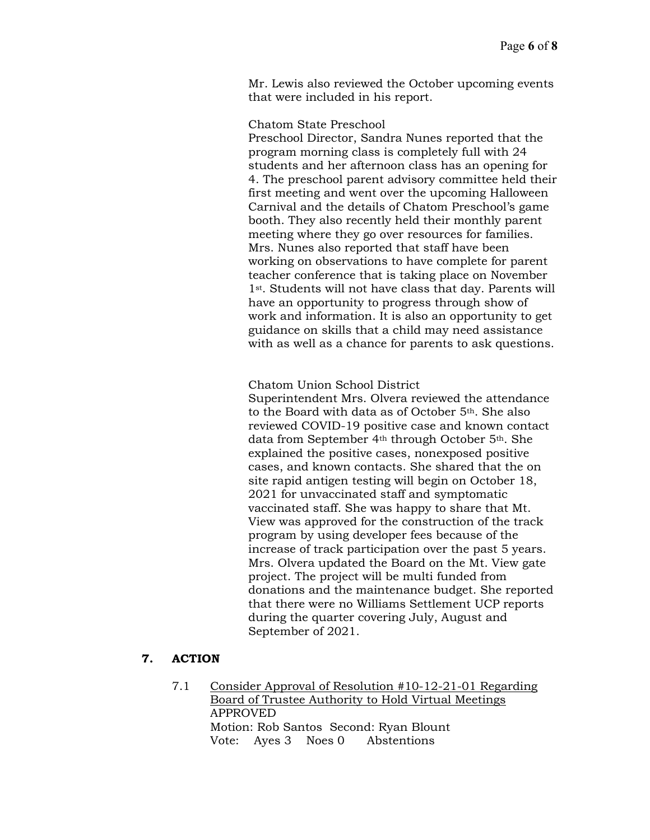Mr. Lewis also reviewed the October upcoming events that were included in his report.

### Chatom State Preschool

Preschool Director, Sandra Nunes reported that the program morning class is completely full with 24 students and her afternoon class has an opening for 4. The preschool parent advisory committee held their first meeting and went over the upcoming Halloween Carnival and the details of Chatom Preschool's game booth. They also recently held their monthly parent meeting where they go over resources for families. Mrs. Nunes also reported that staff have been working on observations to have complete for parent teacher conference that is taking place on November 1st. Students will not have class that day. Parents will have an opportunity to progress through show of work and information. It is also an opportunity to get guidance on skills that a child may need assistance with as well as a chance for parents to ask questions.

Chatom Union School District

Superintendent Mrs. Olvera reviewed the attendance to the Board with data as of October 5th. She also reviewed COVID-19 positive case and known contact data from September 4<sup>th</sup> through October 5<sup>th</sup>. She explained the positive cases, nonexposed positive cases, and known contacts. She shared that the on site rapid antigen testing will begin on October 18, 2021 for unvaccinated staff and symptomatic vaccinated staff. She was happy to share that Mt. View was approved for the construction of the track program by using developer fees because of the increase of track participation over the past 5 years. Mrs. Olvera updated the Board on the Mt. View gate project. The project will be multi funded from donations and the maintenance budget. She reported that there were no Williams Settlement UCP reports during the quarter covering July, August and September of 2021.

## **7. ACTION**

7.1 Consider Approval of Resolution #10-12-21-01 Regarding Board of Trustee Authority to Hold Virtual Meetings APPROVED Motion: Rob Santos Second: Ryan Blount Vote: Ayes 3 Noes 0 Abstentions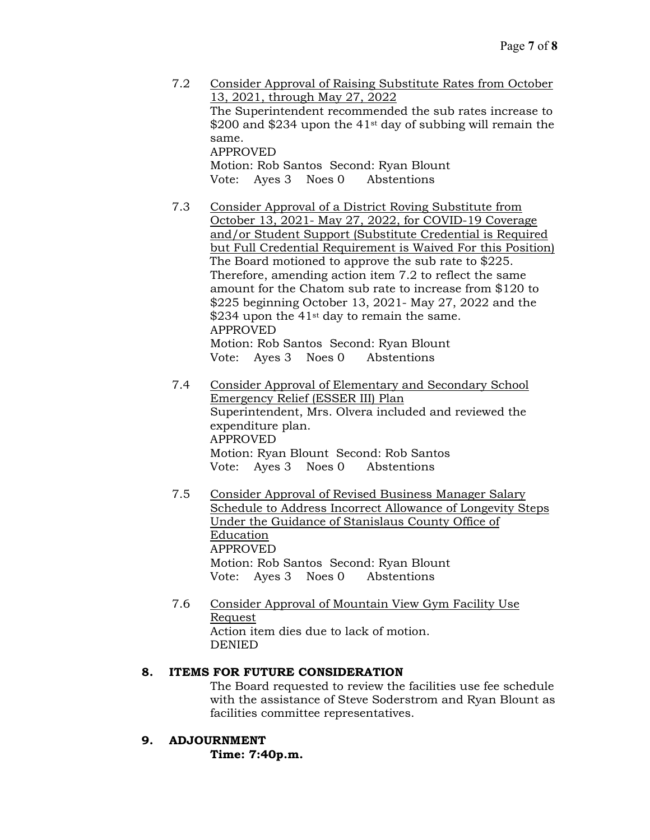- 7.2 Consider Approval of Raising Substitute Rates from October 13, 2021, through May 27, 2022 The Superintendent recommended the sub rates increase to  $$200$  and  $$234$  upon the 41<sup>st</sup> day of subbing will remain the same. APPROVED Motion: Rob Santos Second: Ryan Blount Vote: Ayes 3 Noes 0 Abstentions
- 7.3 Consider Approval of a District Roving Substitute from October 13, 2021- May 27, 2022, for COVID-19 Coverage and/or Student Support (Substitute Credential is Required but Full Credential Requirement is Waived For this Position) The Board motioned to approve the sub rate to \$225. Therefore, amending action item 7.2 to reflect the same amount for the Chatom sub rate to increase from \$120 to \$225 beginning October 13, 2021- May 27, 2022 and the \$234 upon the  $41<sup>st</sup>$  day to remain the same. APPROVED Motion: Rob Santos Second: Ryan Blount Vote: Ayes 3 Noes 0 Abstentions
- 7.4 Consider Approval of Elementary and Secondary School Emergency Relief (ESSER III) Plan Superintendent, Mrs. Olvera included and reviewed the expenditure plan. APPROVED Motion: Ryan Blount Second: Rob Santos Vote: Ayes 3 Noes 0 Abstentions
- 7.5 Consider Approval of Revised Business Manager Salary Schedule to Address Incorrect Allowance of Longevity Steps Under the Guidance of Stanislaus County Office of Education APPROVED Motion: Rob Santos Second: Ryan Blount Vote: Ayes 3 Noes 0 Abstentions
- 7.6 Consider Approval of Mountain View Gym Facility Use Request Action item dies due to lack of motion. DENIED

# **8. ITEMS FOR FUTURE CONSIDERATION**

The Board requested to review the facilities use fee schedule with the assistance of Steve Soderstrom and Ryan Blount as facilities committee representatives.

# **9. ADJOURNMENT**

**Time: 7:40p.m.**